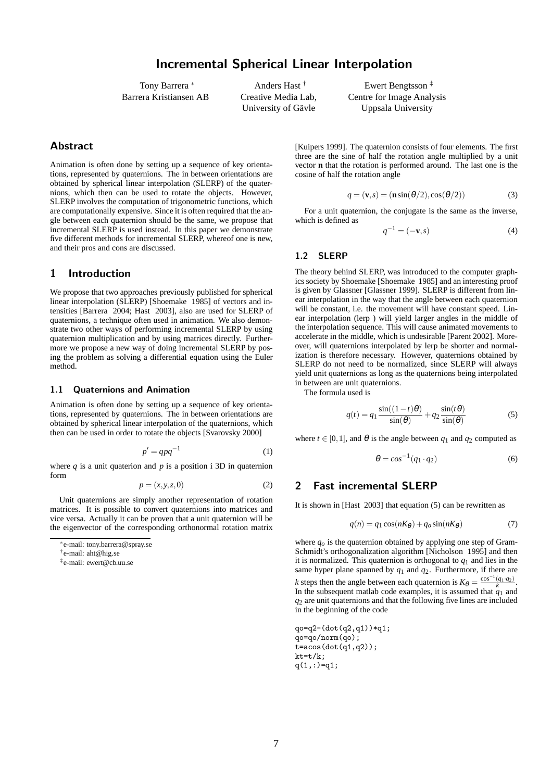Tony Barrera <sup>∗</sup> Barrera Kristiansen AB

Anders Hast † Creative Media Lab, University of Gävle

Ewert Bengtsson ‡ Centre for Image Analysis Uppsala University

# Abstract

Animation is often done by setting up a sequence of key orientations, represented by quaternions. The in between orientations are obtained by spherical linear interpolation (SLERP) of the quaternions, which then can be used to rotate the objects. However, SLERP involves the computation of trigonometric functions, which are computationally expensive. Since it is often required that the angle between each quaternion should be the same, we propose that incremental SLERP is used instead. In this paper we demonstrate five different methods for incremental SLERP, whereof one is new, and their pros and cons are discussed.

## 1 Introduction

We propose that two approaches previously published for spherical linear interpolation (SLERP) [Shoemake 1985] of vectors and intensities [Barrera 2004; Hast 2003], also are used for SLERP of quaternions, a technique often used in animation. We also demonstrate two other ways of performing incremental SLERP by using quaternion multiplication and by using matrices directly. Furthermore we propose a new way of doing incremental SLERP by posing the problem as solving a differential equation using the Euler method.

#### 1.1 Quaternions and Animation

Animation is often done by setting up a sequence of key orientations, represented by quaternions. The in between orientations are obtained by spherical linear interpolation of the quaternions, which then can be used in order to rotate the objects [Svarovsky 2000]

$$
p' = qpq^{-1} \tag{1}
$$

where  $q$  is a unit quaterion and  $p$  is a position i 3D in quaternion form

$$
p = (x, y, z, 0) \tag{2}
$$

Unit quaternions are simply another representation of rotation matrices. It is possible to convert quaternions into matrices and vice versa. Actually it can be proven that a unit quaternion will be the eigenvector of the corresponding orthonormal rotation matrix

[Kuipers 1999]. The quaternion consists of four elements. The first three are the sine of half the rotation angle multiplied by a unit vector **n** that the rotation is performed around. The last one is the cosine of half the rotation angle

$$
q = (\mathbf{v}, s) = (\mathbf{n}\sin(\theta/2), \cos(\theta/2))
$$
 (3)

For a unit quaternion, the conjugate is the same as the inverse, which is defined as

$$
q^{-1} = (-\mathbf{v}, s) \tag{4}
$$

### 1.2 SLERP

The theory behind SLERP, was introduced to the computer graphics society by Shoemake [Shoemake 1985] and an interesting proof is given by Glassner [Glassner 1999]. SLERP is different from linear interpolation in the way that the angle between each quaternion will be constant, i.e. the movement will have constant speed. Linear interpolation (lerp ) will yield larger angles in the middle of the interpolation sequence. This will cause animated movements to accelerate in the middle, which is undesirable [Parent 2002]. Moreover, will quaternions interpolated by lerp be shorter and normalization is therefore necessary. However, quaternions obtained by SLERP do not need to be normalized, since SLERP will always yield unit quaternions as long as the quaternions being interpolated in between are unit quaternions.

The formula used is

$$
q(t) = q_1 \frac{\sin((1-t)\theta)}{\sin(\theta)} + q_2 \frac{\sin(t\theta)}{\sin(\theta)}
$$
(5)

where  $t \in [0,1]$ , and  $\theta$  is the angle between  $q_1$  and  $q_2$  computed as

$$
\theta = \cos^{-1}(q_1 \cdot q_2) \tag{6}
$$

## 2 Fast incremental SLERP

It is shown in [Hast 2003] that equation (5) can be rewritten as

$$
q(n) = q_1 \cos(nK_{\theta}) + q_o \sin(nK_{\theta})
$$
\n(7)

where  $q<sub>o</sub>$  is the quaternion obtained by applying one step of Gram-Schmidt's orthogonalization algorithm [Nicholson 1995] and then it is normalized. This quaternion is orthogonal to  $q_1$  and lies in the same hyper plane spanned by *q*<sup>1</sup> and *q*2. Furthermore, if there are *k* steps then the angle between each quaternion is  $K_{\theta} = \frac{\cos^{-1}(q_1 \cdot q_2)}{k}$ . In the subsequent matlab code examples, it is assumed that  $q_1$  and *q*<sup>2</sup> are unit quaternions and that the following five lines are included in the beginning of the code

qo=q2-(dot(q2,q1))\*q1; qo=qo/norm(qo); t=acos(dot(q1,q2));  $kt=t/k$ ;  $q(1,:) = q1;$ 

<sup>∗</sup> e-mail: tony.barrera@spray.se

<sup>†</sup> e-mail: aht@hig.se

<sup>‡</sup> e-mail: ewert@cb.uu.se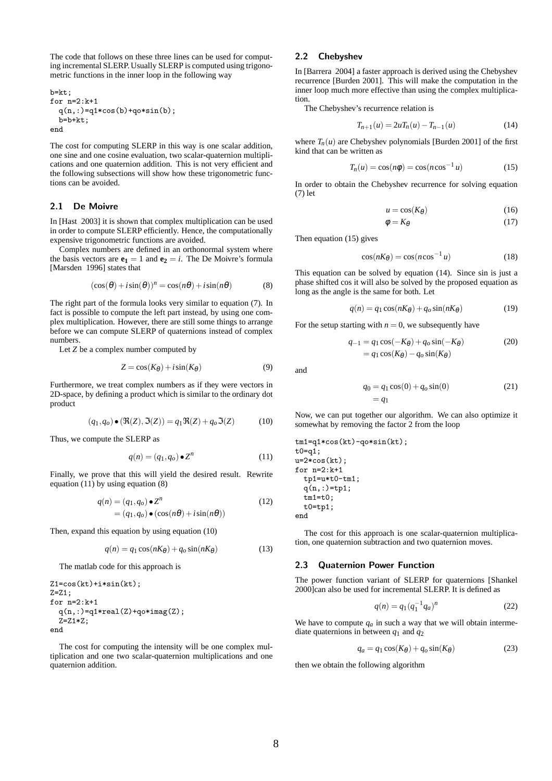The code that follows on these three lines can be used for computing incremental SLERP. Usually SLERP is computed using trigonometric functions in the inner loop in the following way

b=kt; for n=2:k+1 q(n,:)=q1\*cos(b)+qo\*sin(b); b=b+kt; end

The cost for computing SLERP in this way is one scalar addition, one sine and one cosine evaluation, two scalar-quaternion multiplications and one quaternion addition. This is not very efficient and the following subsections will show how these trigonometric functions can be avoided.

#### 2.1 De Moivre

In [Hast 2003] it is shown that complex multiplication can be used in order to compute SLERP efficiently. Hence, the computationally expensive trigonometric functions are avoided.

Complex numbers are defined in an orthonormal system where the basis vectors are  $e_1 = 1$  and  $e_2 = i$ . The De Moivre's formula [Marsden 1996] states that

$$
(\cos(\theta) + i\sin(\theta))^n = \cos(n\theta) + i\sin(n\theta)
$$
 (8)

The right part of the formula looks very similar to equation (7). In fact is possible to compute the left part instead, by using one complex multiplication. However, there are still some things to arrange before we can compute SLERP of quaternions instead of complex numbers.

Let *Z* be a complex number computed by

$$
Z = \cos(K_{\theta}) + i\sin(K_{\theta})\tag{9}
$$

Furthermore, we treat complex numbers as if they were vectors in 2D-space, by defining a product which is similar to the ordinary dot product

$$
(q_1, q_o) \bullet (\mathfrak{R}(Z), \mathfrak{I}(Z)) = q_1 \mathfrak{R}(Z) + q_o \mathfrak{I}(Z)
$$
 (10)

Thus, we compute the SLERP as

$$
q(n) = (q_1, q_o) \bullet \mathbb{Z}^n \tag{11}
$$

Finally, we prove that this will yield the desired result. Rewrite equation  $(11)$  by using equation  $(8)$ 

$$
q(n) = (q_1, q_o) \bullet Z^n
$$
  
=  $(q_1, q_o) \bullet (\cos(n\theta) + i\sin(n\theta))$  (12)

Then, expand this equation by using equation (10)

$$
q(n) = q_1 \cos(nK_{\theta}) + q_o \sin(nK_{\theta})
$$
\n(13)

The matlab code for this approach is

```
Z1 = \cos(kt) + i * \sin(kt);
Z=Z1;
for n=2:k+1
  q(n,:) = q1*real(Z) + qo*imag(Z);Z=Z1*Z;
end
```
The cost for computing the intensity will be one complex multiplication and one two scalar-quaternion multiplications and one quaternion addition.

#### 2.2 Chebyshev

In [Barrera 2004] a faster approach is derived using the Chebyshev recurrence [Burden 2001]. This will make the computation in the inner loop much more effective than using the complex multiplication.

The Chebyshev's recurrence relation is

$$
T_{n+1}(u) = 2uT_n(u) - T_{n-1}(u)
$$
\n(14)

where  $T_n(u)$  are Chebyshev polynomials [Burden 2001] of the first kind that can be written as

$$
T_n(u) = \cos(n\phi) = \cos(n\cos^{-1}u)
$$
 (15)

In order to obtain the Chebyshev recurrence for solving equation (7) let

$$
u = \cos(K_{\theta})\tag{16}
$$

$$
\phi = K_{\theta} \tag{17}
$$

Then equation (15) gives

$$
\cos(nK_{\theta}) = \cos(n\cos^{-1}u) \tag{18}
$$

This equation can be solved by equation (14). Since sin is just a phase shifted cos it will also be solved by the proposed equation as long as the angle is the same for both. Let

$$
q(n) = q_1 \cos(nK_{\theta}) + q_o \sin(nK_{\theta})
$$
\n(19)

For the setup starting with  $n = 0$ , we subsequently have

$$
q_{-1} = q_1 \cos(-K_{\theta}) + q_o \sin(-K_{\theta})
$$
  
=  $q_1 \cos(K_{\theta}) - q_o \sin(K_{\theta})$  (20)

and

$$
q_0 = q_1 \cos(0) + q_0 \sin(0)
$$
 (21)  
=  $q_1$ 

Now, we can put together our algorithm. We can also optimize it somewhat by removing the factor 2 from the loop

tm1=q1\*cos(kt)-qo\*sin(kt); t0=q1; u=2\*cos(kt); for n=2:k+1 tp1=u\*t0-tm1; q(n,:)=tp1; tm1=t0; t0=tp1; end

The cost for this approach is one scalar-quaternion multiplication, one quaternion subtraction and two quaternion moves.

#### 2.3 Quaternion Power Function

The power function variant of SLERP for quaternions [Shankel 2000]can also be used for incremental SLERP. It is defined as

$$
q(n) = q_1 (q_1^{-1} q_a)^n \tag{22}
$$

We have to compute  $q_a$  in such a way that we will obtain intermediate quaternions in between *q*<sup>1</sup> and *q*<sup>2</sup>

$$
q_a = q_1 \cos(K_\theta) + q_o \sin(K_\theta) \tag{23}
$$

then we obtain the following algorithm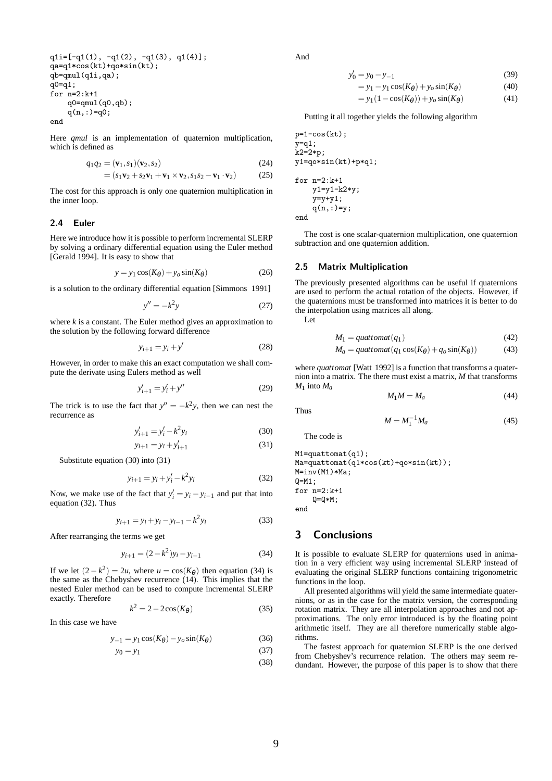$q1i=[-q1(1), -q1(2), -q1(3), q1(4)];$ qa=q1\*cos(kt)+qo\*sin(kt); qb=qmul(q1i,qa); q0=q1; for n=2:k+1  $q0 = qmu1(q0, qb)$ ; q(n,:)=q0; end

Here *qmul* is an implementation of quaternion multiplication, which is defined as

$$
q_1q_2 = (\mathbf{v}_1, s_1)(\mathbf{v}_2, s_2) \tag{24}
$$

$$
= (s_1\mathbf{v}_2 + s_2\mathbf{v}_1 + \mathbf{v}_1 \times \mathbf{v}_2, s_1s_2 - \mathbf{v}_1 \cdot \mathbf{v}_2) \tag{25}
$$

The cost for this approach is only one quaternion multiplication in the inner loop.

#### 2.4 Euler

Here we introduce how it is possible to perform incremental SLERP by solving a ordinary differential equation using the Euler method [Gerald 1994]. It is easy to show that

$$
y = y_1 \cos(K_\theta) + y_o \sin(K_\theta) \tag{26}
$$

is a solution to the ordinary differential equation [Simmons 1991]

$$
y'' = -k^2 y \tag{27}
$$

where *k* is a constant. The Euler method gives an approximation to the solution by the following forward difference

$$
y_{i+1} = y_i + y'
$$
\n<sup>(28)</sup>

However, in order to make this an exact computation we shall compute the derivate using Eulers method as well

$$
y'_{i+1} = y'_i + y''
$$
 (29)

The trick is to use the fact that  $y'' = -k^2y$ , then we can nest the recurrence as

$$
y'_{i+1} = y'_i - k^2 y_i \tag{30}
$$

$$
y_{i+1} = y_i + y'_{i+1}
$$
 (31)

Substitute equation (30) into (31)

$$
y_{i+1} = y_i + y'_i - k^2 y_i
$$
 (32)

Now, we make use of the fact that  $y'_i = y_i - y_{i-1}$  and put that into equation (32). Thus

$$
y_{i+1} = y_i + y_i - y_{i-1} - k^2 y_i \tag{33}
$$

After rearranging the terms we get

$$
y_{i+1} = (2 - k^2)y_i - y_{i-1}
$$
 (34)

If we let  $(2 - k^2) = 2u$ , where  $u = \cos(K_\theta)$  then equation (34) is the same as the Chebyshev recurrence (14). This implies that the nested Euler method can be used to compute incremental SLERP exactly. Therefore

$$
k^2 = 2 - 2\cos(K_\theta) \tag{35}
$$

In this case we have

$$
y_{-1} = y_1 \cos(K_\theta) - y_o \sin(K_\theta) \tag{36}
$$

$$
y_0 = y_1 \tag{37}
$$

And

$$
y'_0 = y_0 - y_{-1} \tag{39}
$$

$$
= y_1 - y_1 \cos(K_\theta) + y_o \sin(K_\theta) \tag{40}
$$

$$
= y_1(1 - \cos(K_\theta)) + y_o \sin(K_\theta)
$$
 (41)

Putting it all together yields the following algorithm

 $p=1-cos(kt)$ ;  $y=q1;$ k2=2\*p;  $v1=qo*sin(kt)+p*q1$ : for  $n=2:k+1$ y1=y1-k2\*y;  $y=y+y1$ ;  $q(n,:) = y;$ end

The cost is one scalar-quaternion multiplication, one quaternion subtraction and one quaternion addition.

#### 2.5 Matrix Multiplication

The previously presented algorithms can be useful if quaternions are used to perform the actual rotation of the objects. However, if the quaternions must be transformed into matrices it is better to do the interpolation using matrices all along.

Let

$$
M_1 = \text{quattomat}(q_1) \tag{42}
$$

$$
M_a = \text{quantomat}(q_1 \cos(K_\theta) + q_o \sin(K_\theta)) \tag{43}
$$

where *quattomat* [Watt 1992] is a function that transforms a quaternion into a matrix. The there must exist a matrix, *M* that transforms  $M_1$  into  $M_a$ 

$$
M_1 M = M_a \tag{44}
$$

Thus

The code is

$$
M = M_1^{-1} M_a \tag{45}
$$

M1=quattomat(q1); Ma=quattomat(q1\*cos(kt)+qo\*sin(kt)); M=inv(M1)\*Ma; Q=M1; for n=2:k+1 Q=Q\*M;

end

# 3 Conclusions

It is possible to evaluate SLERP for quaternions used in animation in a very efficient way using incremental SLERP instead of evaluating the original SLERP functions containing trigonometric functions in the loop.

All presented algorithms will yield the same intermediate quaternions, or as in the case for the matrix version, the corresponding rotation matrix. They are all interpolation approaches and not approximations. The only error introduced is by the floating point arithmetic itself. They are all therefore numerically stable algorithms.

The fastest approach for quaternion SLERP is the one derived from Chebyshev's recurrence relation. The others may seem redundant. However, the purpose of this paper is to show that there

(38)